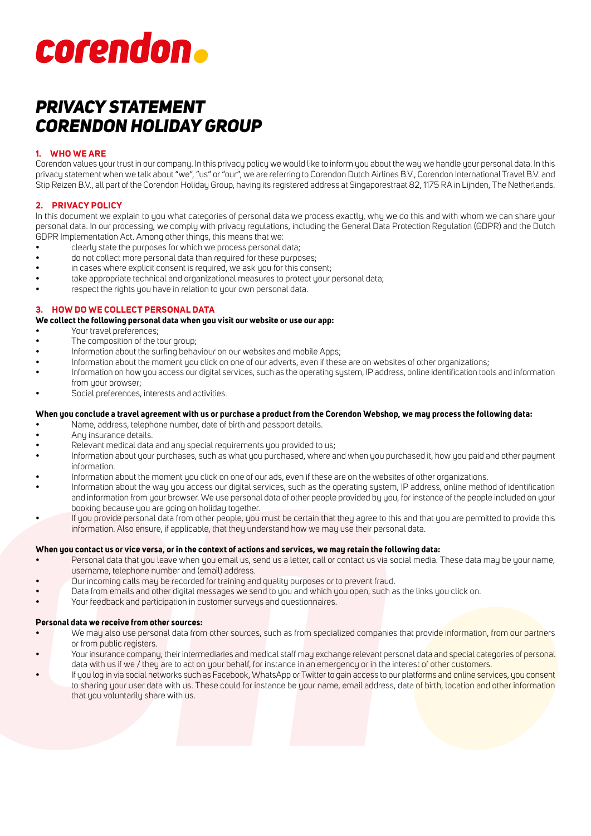# corendon.

# *PRIVACY STATEMENT CORENDON HOLIDAY GROUP*

# **1. WHO WE ARE**

Corendon values your trust in our company. In this privacy policy we would like to inform you about the way we handle your personal data. In this privacy statement when we talk about "we", "us" or "our", we are referring to Corendon Dutch Airlines B.V., Corendon International Travel B.V. and Stip Reizen B.V., all part of the Corendon Holiday Group, having its registered address at Singaporestraat 82, 1175 RA in Lijnden, The Netherlands.

# **2. PRIVACY POLICY**

In this document we explain to you what categories of personal data we process exactly, why we do this and with whom we can share your personal data. In our processing, we comply with privacy regulations, including the General Data Protection Regulation (GDPR) and the Dutch GDPR Implementation Act. Among other things, this means that we:

- clearly state the purposes for which we process personal data;
- do not collect more personal data than required for these purposes;
- in cases where explicit consent is required, we ask you for this consent;
- take appropriate technical and organizational measures to protect your personal data;
- respect the rights you have in relation to your own personal data.

# **3. HOW DO WE COLLECT PERSONAL DATA**

### **We collect the following personal data when you visit our website or use our app:**

- Your travel preferences;
- The composition of the tour group;
- Information about the surfing behaviour on our websites and mobile Apps;
- Information about the moment you click on one of our adverts, even if these are on websites of other organizations;
- Information on how you access our digital services, such as the operating system, IP address, online identification tools and information from your browser;
- Social preferences, interests and activities.

### **When you conclude a travel agreement with us or purchase a product from the Corendon Webshop, we may process the following data:**

- Name, address, telephone number, date of birth and passport details.
- Any insurance details.
- Relevant medical data and any special requirements you provided to us;
- Information about your purchases, such as what you purchased, where and when you purchased it, how you paid and other payment information.
- Information about the moment you click on one of our ads, even if these are on the websites of other organizations.
- Information about the way you access our digital services, such as the operating system, IP address, online method of identification and information from your browser. We use personal data of other people provided by you, for instance of the people included on your booking because you are going on holiday together.
- If you provide personal data from other people, you must be certain that they agree to this and that you are permitted to provide this information. Also ensure, if applicable, that they understand how we may use their personal data.

# **When you contact us or vice versa, or in the context of actions and services, we may retain the following data:**

- Personal data that you leave when you email us, send us a letter, call or contact us via social media. These data may be your name, username, telephone number and (email) address.
- Our incoming calls may be recorded for training and quality purposes or to prevent fraud.
- Data from emails and other digital messages we send to you and which you open, such as the links you click on.
- Your feedback and participation in customer surveys and questionnaires.

# **Personal data we receive from other sources:**

- We may also use personal data from other sources, such as from specialized companies that provide information, from our partners or from public registers.
- Your insurance company, their intermediaries and medical staff may exchange relevant personal data and special categories of personal data with us if we / they are to act on your behalf, for instance in an emergency or in the interest of other customers.
- If you log in via social networks such as Facebook, WhatsApp or Twitter to gain access to our platforms and online services, you consent to sharing your user data with us. These could for instance be your name, email address, data of birth, location and other information that you voluntarily share with us.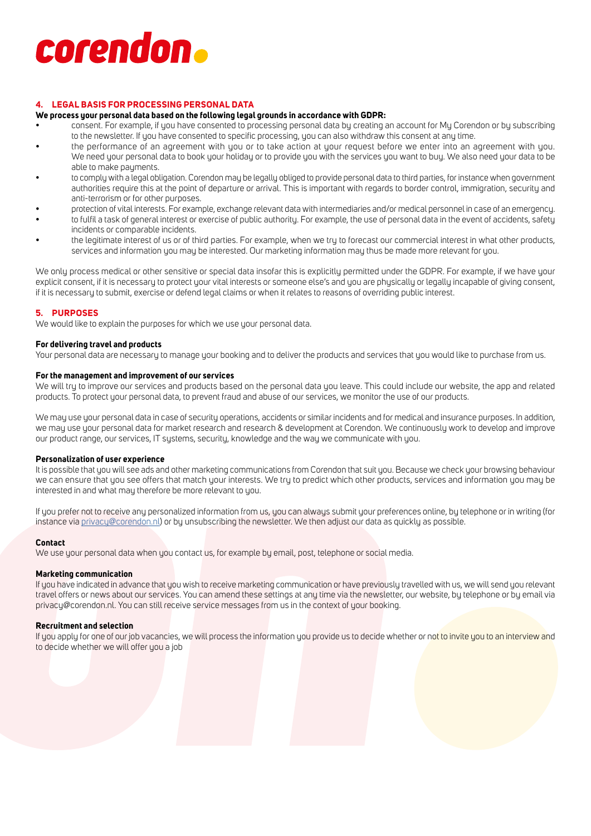# corendon.

# **4. LEGAL BASIS FOR PROCESSING PERSONAL DATA**

### **We process your personal data based on the following legal grounds in accordance with GDPR:**

- consent. For example, if you have consented to processing personal data by creating an account for My Corendon or by subscribing to the newsletter. If you have consented to specific processing, you can also withdraw this consent at any time.
- the performance of an agreement with you or to take action at your request before we enter into an agreement with you. We need your personal data to book your holiday or to provide you with the services you want to buy. We also need your data to be able to make payments.
- to comply with a legal obligation. Corendon may be legally obliged to provide personal data to third parties, for instance when government authorities require this at the point of departure or arrival. This is important with regards to border control, immigration, security and anti-terrorism or for other purposes.
- protection of vital interests. For example, exchange relevant data with intermediaries and/or medical personnel in case of an emergency.
- to fulfil a task of general interest or exercise of public authority. For example, the use of personal data in the event of accidents, safety incidents or comparable incidents.
- the legitimate interest of us or of third parties. For example, when we try to forecast our commercial interest in what other products, services and information you may be interested. Our marketing information may thus be made more relevant for you.

We only process medical or other sensitive or special data insofar this is explicitly permitted under the GDPR. For example, if we have your explicit consent, if it is necessary to protect your vital interests or someone else's and you are physically or legally incapable of giving consent, if it is necessary to submit, exercise or defend legal claims or when it relates to reasons of overriding public interest.

### **5. PURPOSES**

We would like to explain the purposes for which we use your personal data.

### **For delivering travel and products**

Your personal data are necessary to manage your booking and to deliver the products and services that you would like to purchase from us.

### **For the management and improvement of our services**

We will try to improve our services and products based on the personal data you leave. This could include our website, the app and related products. To protect your personal data, to prevent fraud and abuse of our services, we monitor the use of our products.

We may use your personal data in case of security operations, accidents or similar incidents and for medical and insurance purposes. In addition, we may use your personal data for market research and research & development at Corendon. We continuously work to develop and improve our product range, our services, IT systems, security, knowledge and the way we communicate with you.

### **Personalization of user experience**

It is possible that you will see ads and other marketing communications from Corendon that suit you. Because we check your browsing behaviour we can ensure that you see offers that match your interests. We try to predict which other products, services and information you may be interested in and what may therefore be more relevant to you.

If you prefer not to receive any personalized information from us, you can always submit your preferences online, by telephone or in writing (for instance via privacy@corendon.nl) or by unsubscribing the newsletter. We then adjust our data as quickly as possible.

### **Contact**

We use your personal data when you contact us, for example by email, post, telephone or social media.

### **Marketing communication**

If you have indicated in advance that you wish to receive marketing communication or have previously travelled with us, we will send you relevant travel offers or news about our services. You can amend these settings at any time via the newsletter, our website, by telephone or by email via privacy@corendon.nl. You can still receive service messages from us in the context of your booking.

### **Recruitment and selection**

If you apply for one of our job vacancies, we will process the information you provide us to decide whether or not to invite you to an interview and to decide whether we will offer you a job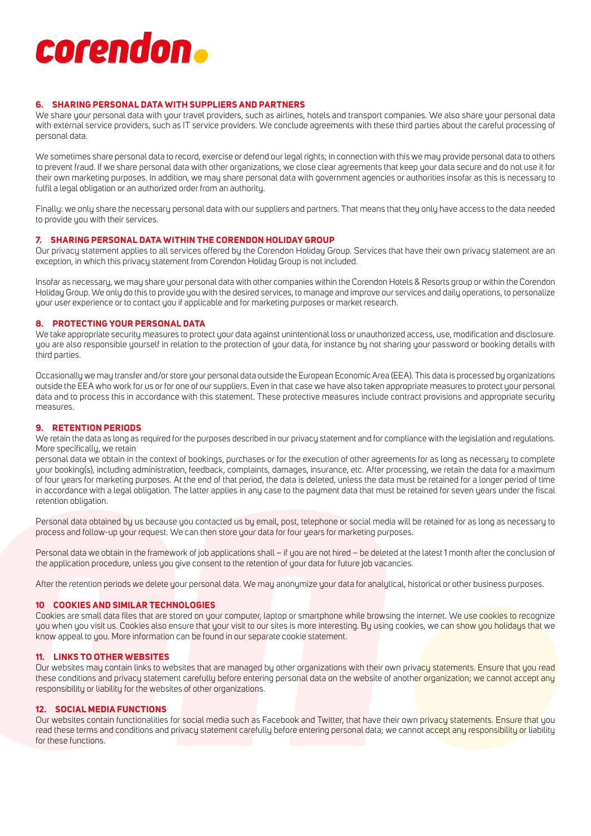# corendon.

# **6. SHARING PERSONAL DATA WITH SUPPLIERS AND PARTNERS**

We share your personal data with your travel providers, such as airlines, hotels and transport companies. We also share your personal data with external service providers, such as IT service providers. We conclude agreements with these third parties about the careful processing of personal data.

We sometimes share personal data to record, exercise or defend our legal rights; in connection with this we may provide personal data to others to prevent fraud. If we share personal data with other organizations, we close clear agreements that keep your data secure and do not use it for their own marketing purposes. In addition, we may share personal data with government agencies or authorities insofar as this is necessary to fulfil a legal obligation or an authorized order from an authority.

Finally: we only share the necessary personal data with our suppliers and partners. That means that they only have access to the data needed to provide you with their services.

# **7. SHARING PERSONAL DATA WITHIN THE CORENDON HOLIDAY GROUP**

Our privacy statement applies to all services offered by the Corendon Holiday Group. Services that have their own privacy statement are an exception, in which this privacy statement from Corendon Holiday Group is not included.

Insofar as necessary, we may share your personal data with other companies within the Corendon Hotels & Resorts group or within the Corendon Holiday Group. We only do this to provide you with the desired services, to manage and improve our services and daily operations, to personalize your user experience or to contact you if applicable and for marketing purposes or market research.

# **8. PROTECTING YOUR PERSONAL DATA**

We take appropriate security measures to protect your data against unintentional loss or unauthorized access, use, modification and disclosure. you are also responsible yourself in relation to the protection of your data, for instance by not sharing your password or booking details with third parties.

Occasionally we may transfer and/or store your personal data outside the European Economic Area (EEA). This data is processed by organizations outside the EEA who work for us or for one of our suppliers. Even in that case we have also taken appropriate measures to protect your personal data and to process this in accordance with this statement. These protective measures include contract provisions and appropriate security measures.

# **9. RETENTION PERIODS**

We retain the data as long as required for the purposes described in our privacy statement and for compliance with the legislation and regulations. More specifically, we retain

personal data we obtain in the context of bookings, purchases or for the execution of other agreements for as long as necessary to complete your booking(s), including administration, feedback, complaints, damages, insurance, etc. After processing, we retain the data for a maximum of four years for marketing purposes. At the end of that period, the data is deleted, unless the data must be retained for a longer period of time in accordance with a legal obligation. The latter applies in any case to the payment data that must be retained for seven years under the fiscal retention obligation.

Personal data obtained by us because you contacted us by email, post, telephone or social media will be retained for as long as necessary to process and follow-up your request. We can then store your data for four years for marketing purposes.

Personal data we obtain in the framework of job applications shall – if you are not hired – be deleted at the latest 1 month after the conclusion of the application procedure, unless you give consent to the retention of your data for future job vacancies.

After the retention periods we delete your personal data. We may anonymize your data for analytical, historical or other business purposes.

# **10 COOKIES AND SIMILAR TECHNOLOGIES**

Cookies are small data files that are stored on your computer, laptop or smartphone while browsing the internet. We use cookies to recognize you when you visit us. Cookies also ensure that your visit to our sites is more interesting. By using cookies, we can show you holidays that we know appeal to you. More information can be found in our separate cookie statement.

# **11. LINKS TO OTHER WEBSITES**

Our websites may contain links to websites that are managed by other organizations with their own privacy statements. Ensure that you read these conditions and privacy statement carefully before entering personal data on the website of another organization; we cannot accept any responsibility or liability for the websites of other organizations.

# **12. SOCIAL MEDIA FUNCTIONS**

Our websites contain functionalities for social media such as Facebook and Twitter, that have their own privacy statements. Ensure that you read these terms and conditions and privacy statement carefully before entering personal data; we cannot accept any responsibility or liability for these functions.